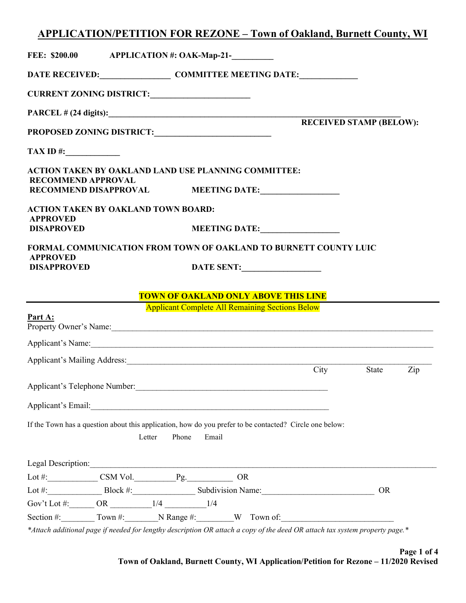# APPLICATION/PETITION FOR REZONE – Town of Oakland, Burnett County, WI

| <b>FEE: \$200.00</b>                                               | <b>APPLICATION #: OAK-Map-21-</b>                                                                                                                                                                                              |                                |  |  |  |  |  |
|--------------------------------------------------------------------|--------------------------------------------------------------------------------------------------------------------------------------------------------------------------------------------------------------------------------|--------------------------------|--|--|--|--|--|
|                                                                    |                                                                                                                                                                                                                                |                                |  |  |  |  |  |
| CURRENT ZONING DISTRICT:                                           |                                                                                                                                                                                                                                |                                |  |  |  |  |  |
|                                                                    |                                                                                                                                                                                                                                |                                |  |  |  |  |  |
|                                                                    |                                                                                                                                                                                                                                | <b>RECEIVED STAMP (BELOW):</b> |  |  |  |  |  |
| $\boxed{\textbf{TAX ID}\;\textit{#:}\; \qquad \qquad }\quad }$     |                                                                                                                                                                                                                                |                                |  |  |  |  |  |
| <b>RECOMMEND APPROVAL</b>                                          | <b>ACTION TAKEN BY OAKLAND LAND USE PLANNING COMMITTEE:</b>                                                                                                                                                                    |                                |  |  |  |  |  |
|                                                                    | RECOMMEND DISAPPROVAL MEETING DATE:                                                                                                                                                                                            |                                |  |  |  |  |  |
| <b>ACTION TAKEN BY OAKLAND TOWN BOARD:</b>                         |                                                                                                                                                                                                                                |                                |  |  |  |  |  |
| <b>APPROVED</b><br><b>DISAPROVED</b>                               | MEETING DATE:                                                                                                                                                                                                                  |                                |  |  |  |  |  |
|                                                                    | <b>FORMAL COMMUNICATION FROM TOWN OF OAKLAND TO BURNETT COUNTY LUIC</b>                                                                                                                                                        |                                |  |  |  |  |  |
| <b>APPROVED</b><br><b>DISAPPROVED</b>                              | DATE SENT:                                                                                                                                                                                                                     |                                |  |  |  |  |  |
|                                                                    |                                                                                                                                                                                                                                |                                |  |  |  |  |  |
|                                                                    | <b>TOWN OF OAKLAND ONLY ABOVE THIS LINE</b>                                                                                                                                                                                    |                                |  |  |  |  |  |
|                                                                    | <b>Applicant Complete All Remaining Sections Below</b>                                                                                                                                                                         |                                |  |  |  |  |  |
| Part A:                                                            | Property Owner's Name:                                                                                                                                                                                                         |                                |  |  |  |  |  |
|                                                                    | Applicant's Name: 1988. Applicant's Name:                                                                                                                                                                                      |                                |  |  |  |  |  |
|                                                                    |                                                                                                                                                                                                                                |                                |  |  |  |  |  |
|                                                                    |                                                                                                                                                                                                                                | City<br>State<br>Zip           |  |  |  |  |  |
| Applicant's Telephone Number:                                      |                                                                                                                                                                                                                                |                                |  |  |  |  |  |
|                                                                    | Applicant's Email: Note of the Contract of the Contract of the Contract of the Contract of the Contract of the Contract of the Contract of the Contract of the Contract of the Contract of the Contract of the Contract of the |                                |  |  |  |  |  |
| Letter                                                             | If the Town has a question about this application, how do you prefer to be contacted? Circle one below:<br>Phone<br>Email                                                                                                      |                                |  |  |  |  |  |
|                                                                    | Legal Description:                                                                                                                                                                                                             |                                |  |  |  |  |  |
| Lot #: $\begin{array}{c} \text{CSM Vol.} \text{PS} \end{array}$ QR |                                                                                                                                                                                                                                |                                |  |  |  |  |  |
|                                                                    | Lot #: Block #: Block #: Subdivision Name:                                                                                                                                                                                     | <b>OR</b>                      |  |  |  |  |  |
|                                                                    |                                                                                                                                                                                                                                |                                |  |  |  |  |  |
|                                                                    | Section #: $\qquad \qquad \text{ Town #:} \qquad \qquad \text{N Range #:} \qquad \qquad W \qquad \text{ Town of:} \qquad \qquad \text{Down the following:}$                                                                    |                                |  |  |  |  |  |
|                                                                    | *Attach additional page if needed for lengthy description OR attach a copy of the deed OR attach tax system property page.*                                                                                                    |                                |  |  |  |  |  |

Page 1 of 4 Town of Oakland, Burnett County, WI Application/Petition for Rezone – 11/2020 Revised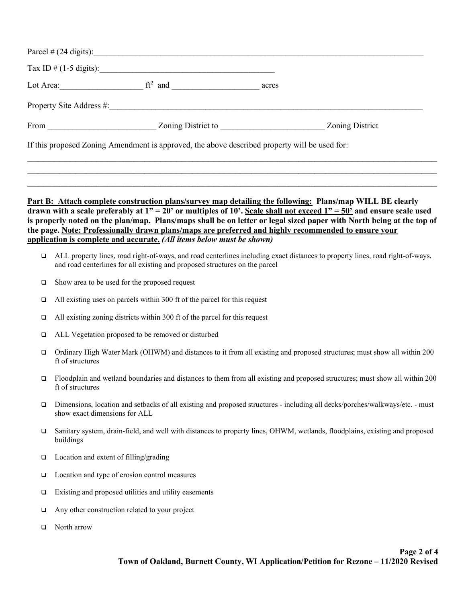| $ft2$ and $\qquad \qquad \qquad$ | acres |                 |
|----------------------------------|-------|-----------------|
|                                  |       |                 |
| From Zoning District to          |       | Zoning District |

# Part B: Attach complete construction plans/survey map detailing the following: Plans/map WILL BE clearly drawn with a scale preferably at  $1" = 20'$  or multiples of 10'. Scale shall not exceed  $1" = 50'$  and ensure scale used is properly noted on the plan/map. Plans/maps shall be on letter or legal sized paper with North being at the top of the page. Note: Professionally drawn plans/maps are preferred and highly recommended to ensure your application is complete and accurate. (All items below must be shown)

- ALL property lines, road right-of-ways, and road centerlines including exact distances to property lines, road right-of-ways, and road centerlines for all existing and proposed structures on the parcel
- $\Box$  Show area to be used for the proposed request
- $\Box$  All existing uses on parcels within 300 ft of the parcel for this request
- $\Box$  All existing zoning districts within 300 ft of the parcel for this request
- ALL Vegetation proposed to be removed or disturbed
- Ordinary High Water Mark (OHWM) and distances to it from all existing and proposed structures; must show all within 200 ft of structures
- $\Box$  Floodplain and wetland boundaries and distances to them from all existing and proposed structures; must show all within 200 ft of structures
- Dimensions, location and setbacks of all existing and proposed structures including all decks/porches/walkways/etc. must show exact dimensions for ALL
- Sanitary system, drain-field, and well with distances to property lines, OHWM, wetlands, floodplains, existing and proposed buildings
- $\Box$  Location and extent of filling/grading
- $\Box$  Location and type of erosion control measures
- $\Box$  Existing and proposed utilities and utility easements
- Any other construction related to your project
- □ North arrow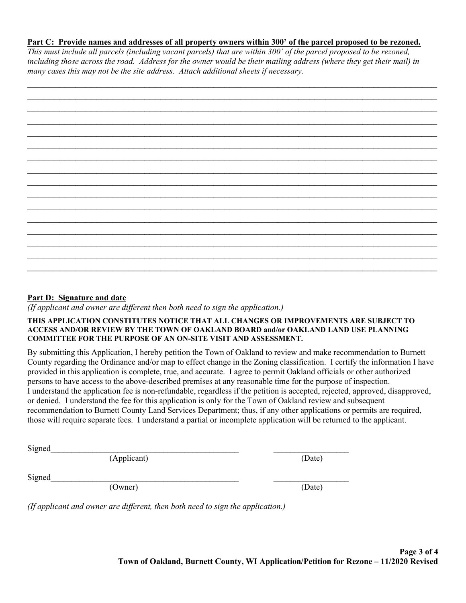### Part C: Provide names and addresses of all property owners within 300' of the parcel proposed to be rezoned.

This must include all parcels (including vacant parcels) that are within 300' of the parcel proposed to be rezoned, including those across the road. Address for the owner would be their mailing address (where they get their mail) in many cases this may not be the site address. Attach additional sheets if necessary.

### Part D: Signature and date

 $\overline{I}$  (If applicant and owner are different then both need to sign the application.)

#### THIS APPLICATION CONSTITUTES NOTICE THAT ALL CHANGES OR IMPROVEMENTS ARE SUBJECT TO ACCESS AND/OR REVIEW BY THE TOWN OF OAKLAND BOARD and/or OAKLAND LAND USE PLANNING COMMITTEE FOR THE PURPOSE OF AN ON-SITE VISIT AND ASSESSMENT.

By submitting this Application, I hereby petition the Town of Oakland to review and make recommendation to Burnett County regarding the Ordinance and/or map to effect change in the Zoning classification. I certify the information I have provided in this application is complete, true, and accurate. I agree to permit Oakland officials or other authorized persons to have access to the above-described premises at any reasonable time for the purpose of inspection. I understand the application fee is non-refundable, regardless if the petition is accepted, rejected, approved, disapproved, or denied. I understand the fee for this application is only for the Town of Oakland review and subsequent recommendation to Burnett County Land Services Department; thus, if any other applications or permits are required, those will require separate fees. I understand a partial or incomplete application will be returned to the applicant.

 $Signed$ 

(Applicant) (Date)

 $Signed$ 

(Owner) (Date)

(If applicant and owner are different, then both need to sign the application.)